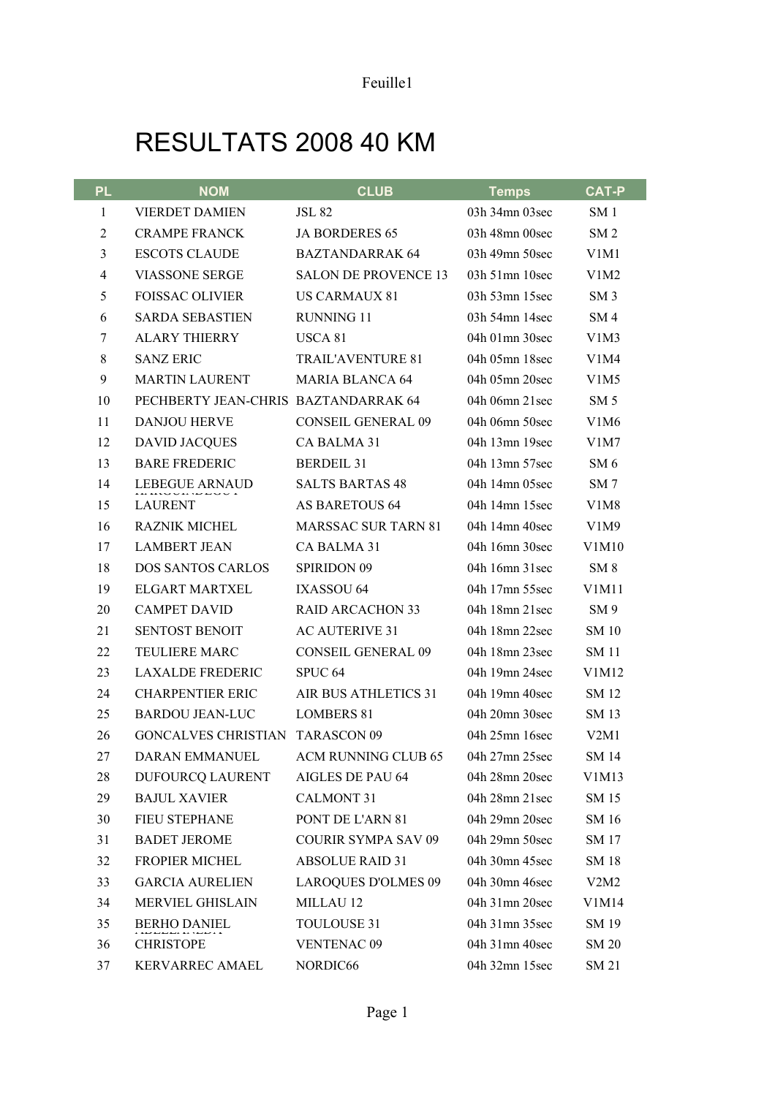## RESULTATS 2008 40 KM

| <b>PL</b>      | <b>NOM</b>                             | <b>CLUB</b>                 | <b>Temps</b>         | <b>CAT-P</b>                  |
|----------------|----------------------------------------|-----------------------------|----------------------|-------------------------------|
| 1              | <b>VIERDET DAMIEN</b>                  | <b>JSL 82</b>               | 03h 34mn 03sec       | SM <sub>1</sub>               |
| $\overline{2}$ | <b>CRAMPE FRANCK</b>                   | <b>JA BORDERES 65</b>       | 03h 48mn 00sec       | SM <sub>2</sub>               |
| 3              | <b>ESCOTS CLAUDE</b>                   | <b>BAZTANDARRAK 64</b>      | 03h 49mn 50sec       | V1M1                          |
| 4              | <b>VIASSONE SERGE</b>                  | <b>SALON DE PROVENCE 13</b> | $03h$ 51mn 10sec     | V1M2                          |
| 5              | <b>FOISSAC OLIVIER</b>                 | <b>US CARMAUX 81</b>        | 03h 53mn 15sec       | SM <sub>3</sub>               |
| 6              | <b>SARDA SEBASTIEN</b>                 | <b>RUNNING 11</b>           | 03h 54mn 14sec       | SM <sub>4</sub>               |
| 7              | <b>ALARY THIERRY</b>                   | USCA 81                     | 04h $01$ mn $30$ sec | V1M3                          |
| 8              | <b>SANZ ERIC</b>                       | <b>TRAIL'AVENTURE 81</b>    | 04h 05mn 18sec       | V1M4                          |
| 9              | <b>MARTIN LAURENT</b>                  | <b>MARIA BLANCA 64</b>      | 04h 05mn 20sec       | V <sub>1</sub> M <sub>5</sub> |
| 10             | PECHBERTY JEAN-CHRIS BAZTANDARRAK 64   |                             | 04h 06mn $21$ sec    | SM <sub>5</sub>               |
| 11             | <b>DANJOU HERVE</b>                    | <b>CONSEIL GENERAL 09</b>   | 04h 06mn 50sec       | V1M6                          |
| 12             | <b>DAVID JACQUES</b>                   | CA BALMA 31                 | 04h 13mn 19sec       | V1M7                          |
| 13             | <b>BARE FREDERIC</b>                   | <b>BERDEIL 31</b>           | 04h 13mn 57sec       | SM6                           |
| 14             | LEBEGUE ARNAUD                         | <b>SALTS BARTAS 48</b>      | 04h 14mn 05sec       | SM <sub>7</sub>               |
| 15             | <b>LAURENT</b>                         | <b>AS BARETOUS 64</b>       | 04h 14mn 15sec       | V <sub>1</sub> M <sub>8</sub> |
| 16             | <b>RAZNIK MICHEL</b>                   | <b>MARSSAC SUR TARN 81</b>  | 04h 14mn 40sec       | V1M9                          |
| 17             | <b>LAMBERT JEAN</b>                    | CA BALMA 31                 | 04h 16mn 30sec       | V1M10                         |
| 18             | <b>DOS SANTOS CARLOS</b>               | <b>SPIRIDON 09</b>          | 04h 16mn 31sec       | SM 8                          |
| 19             | <b>ELGART MARTXEL</b>                  | IXASSOU 64                  | 04h 17mn 55sec       | V1M11                         |
| 20             | <b>CAMPET DAVID</b>                    | <b>RAID ARCACHON 33</b>     | 04h 18mn 21sec       | SM <sub>9</sub>               |
| 21             | <b>SENTOST BENOIT</b>                  | <b>AC AUTERIVE 31</b>       | 04h 18mn 22sec       | <b>SM 10</b>                  |
| 22             | <b>TEULIERE MARC</b>                   | <b>CONSEIL GENERAL 09</b>   | 04h 18mn 23sec       | <b>SM 11</b>                  |
| 23             | <b>LAXALDE FREDERIC</b>                | SPUC <sub>64</sub>          | 04h 19mn 24sec       | V1M12                         |
| 24             | <b>CHARPENTIER ERIC</b>                | AIR BUS ATHLETICS 31        | 04h 19mn 40sec       | SM 12                         |
| 25             | <b>BARDOU JEAN-LUC</b>                 | <b>LOMBERS 81</b>           | 04h 20mn 30sec       | SM 13                         |
| 26             | <b>GONCALVES CHRISTIAN TARASCON 09</b> |                             | 04h 25mn 16sec       | V2M1                          |
| 27             | DARAN EMMANUEL                         | ACM RUNNING CLUB 65         | 04h 27mn 25sec       | SM 14                         |
| 28             | DUFOURCQ LAURENT                       | AIGLES DE PAU 64            | 04h 28mn 20sec       | V1M13                         |
| 29             | <b>BAJUL XAVIER</b>                    | <b>CALMONT 31</b>           | 04h 28mn 21sec       | SM 15                         |
| 30             | <b>FIEU STEPHANE</b>                   | PONT DE L'ARN 81            | 04h 29mn 20sec       | SM 16                         |
| 31             | <b>BADET JEROME</b>                    | <b>COURIR SYMPA SAV 09</b>  | 04h 29mn 50sec       | SM 17                         |
| 32             | <b>FROPIER MICHEL</b>                  | <b>ABSOLUE RAID 31</b>      | 04h 30mn 45sec       | SM 18                         |
| 33             | <b>GARCIA AURELIEN</b>                 | <b>LAROQUES D'OLMES 09</b>  | 04h 30mn 46sec       | V2M2                          |
| 34             | MERVIEL GHISLAIN                       | MILLAU 12                   | 04h 31mn 20sec       | V1M14                         |
| 35             | <b>BERHO DANIEL</b>                    | TOULOUSE 31                 | 04h 31mn 35sec       | SM 19                         |
| 36             | <b>CHRISTOPE</b>                       | <b>VENTENAC 09</b>          | 04h 31mn 40sec       | <b>SM 20</b>                  |
| 37             | KERVARREC AMAEL                        | NORDIC66                    | 04h 32mn 15sec       | SM 21                         |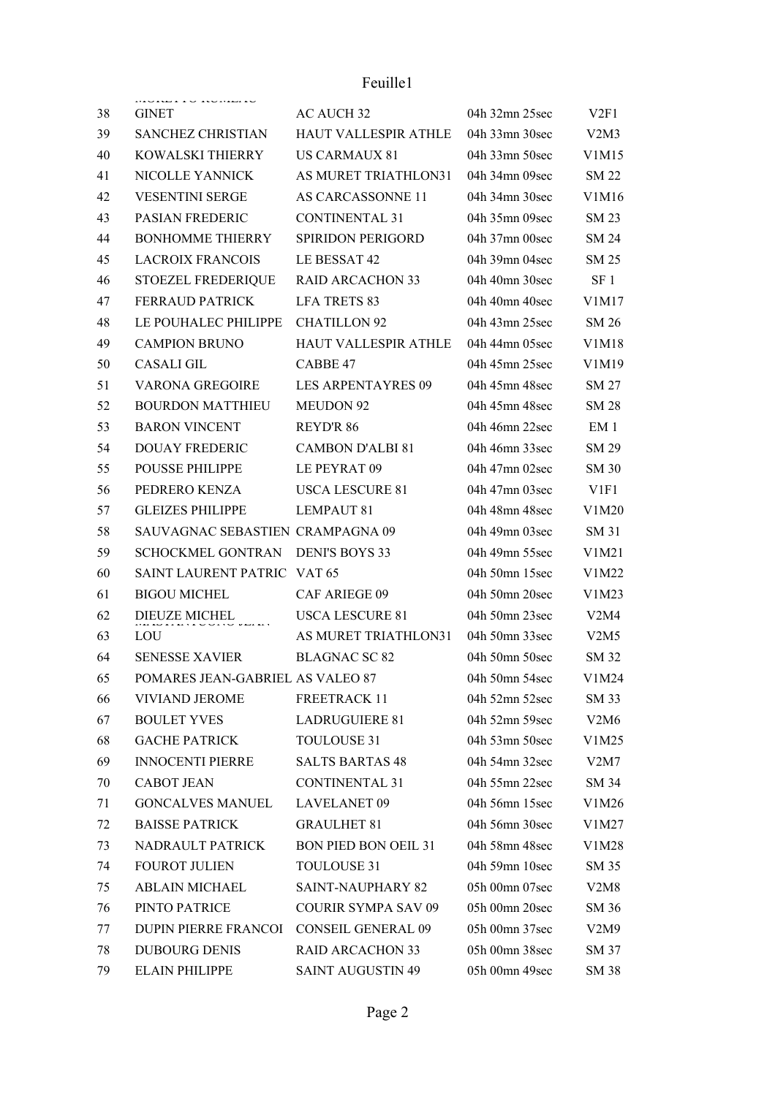## Feuille1

| 38 | monario nomino<br><b>GINET</b>   | AC AUCH 32                  | 04h 32mn 25sec | V2F1             |
|----|----------------------------------|-----------------------------|----------------|------------------|
| 39 | SANCHEZ CHRISTIAN                | HAUT VALLESPIR ATHLE        | 04h 33mn 30sec | V2M3             |
| 40 | KOWALSKI THIERRY                 | <b>US CARMAUX 81</b>        | 04h 33mn 50sec | V1M15            |
| 41 | NICOLLE YANNICK                  | AS MURET TRIATHLON31        | 04h 34mn 09sec | <b>SM 22</b>     |
| 42 | <b>VESENTINI SERGE</b>           | AS CARCASSONNE 11           | 04h 34mn 30sec | V1M16            |
| 43 | PASIAN FREDERIC                  | <b>CONTINENTAL 31</b>       | 04h 35mn 09sec | SM 23            |
| 44 | <b>BONHOMME THIERRY</b>          | SPIRIDON PERIGORD           | 04h 37mn 00sec | SM 24            |
| 45 | <b>LACROIX FRANCOIS</b>          | LE BESSAT 42                | 04h 39mn 04sec | SM 25            |
| 46 | STOEZEL FREDERIQUE               | <b>RAID ARCACHON 33</b>     | 04h 40mn 30sec | SF 1             |
| 47 | <b>FERRAUD PATRICK</b>           | <b>LFA TRETS 83</b>         | 04h 40mn 40sec | V1M17            |
| 48 | LE POUHALEC PHILIPPE             | <b>CHATILLON 92</b>         | 04h 43mn 25sec | SM 26            |
| 49 | <b>CAMPION BRUNO</b>             | <b>HAUT VALLESPIR ATHLE</b> | 04h 44mn 05sec | V1M18            |
| 50 | CASALI GIL                       | CABBE 47                    | 04h 45mn 25sec | V1M19            |
| 51 | <b>VARONA GREGOIRE</b>           | <b>LES ARPENTAYRES 09</b>   | 04h 45mn 48sec | SM 27            |
| 52 | <b>BOURDON MATTHIEU</b>          | <b>MEUDON 92</b>            | 04h 45mn 48sec | <b>SM 28</b>     |
| 53 | <b>BARON VINCENT</b>             | <b>REYD'R 86</b>            | 04h 46mn 22sec | EM 1             |
| 54 | <b>DOUAY FREDERIC</b>            | <b>CAMBON D'ALBI 81</b>     | 04h 46mn 33sec | SM 29            |
| 55 | POUSSE PHILIPPE                  | LE PEYRAT 09                | 04h 47mn 02sec | <b>SM 30</b>     |
| 56 | PEDRERO KENZA                    | <b>USCA LESCURE 81</b>      | 04h 47mn 03sec | V <sub>1F1</sub> |
| 57 | <b>GLEIZES PHILIPPE</b>          | <b>LEMPAUT 81</b>           | 04h 48mn 48sec | V1M20            |
| 58 | SAUVAGNAC SEBASTIEN CRAMPAGNA 09 |                             | 04h 49mn 03sec | SM 31            |
| 59 | SCHOCKMEL GONTRAN                | <b>DENI'S BOYS 33</b>       | 04h 49mn 55sec | V1M21            |
| 60 | SAINT LAURENT PATRIC             | VAT 65                      | 04h 50mn 15sec | V1M22            |
| 61 | <b>BIGOU MICHEL</b>              | <b>CAF ARIEGE 09</b>        | 04h 50mn 20sec | V1M23            |
| 62 | DIEUZE MICHEL                    | <b>USCA LESCURE 81</b>      | 04h 50mn 23sec | V2M4             |
| 63 | LOU                              | AS MURET TRIATHLON31        | 04h 50mn 33sec | V2M5             |
| 64 | <b>SENESSE XAVIER</b>            | <b>BLAGNAC SC 82</b>        | 04h 50mn 50sec | <b>SM 32</b>     |
| 65 | POMARES JEAN-GABRIEL AS VALEO 87 |                             | 04h 50mn 54sec | V1M24            |
| 66 | <b>VIVIAND JEROME</b>            | <b>FREETRACK 11</b>         | 04h 52mn 52sec | SM 33            |
| 67 | <b>BOULET YVES</b>               | <b>LADRUGUIERE 81</b>       | 04h 52mn 59sec | V2M6             |
| 68 | <b>GACHE PATRICK</b>             | TOULOUSE 31                 | 04h 53mn 50sec | V1M25            |
| 69 | <b>INNOCENTI PIERRE</b>          | <b>SALTS BARTAS 48</b>      | 04h 54mn 32sec | V2M7             |
| 70 | <b>CABOT JEAN</b>                | <b>CONTINENTAL 31</b>       | 04h 55mn 22sec | SM 34            |
| 71 | <b>GONCALVES MANUEL</b>          | <b>LAVELANET 09</b>         | 04h 56mn 15sec | V1M26            |
| 72 | <b>BAISSE PATRICK</b>            | <b>GRAULHET 81</b>          | 04h 56mn 30sec | V1M27            |
| 73 | NADRAULT PATRICK                 | <b>BON PIED BON OEIL 31</b> | 04h 58mn 48sec | V1M28            |
| 74 | FOUROT JULIEN                    | TOULOUSE 31                 | 04h 59mn 10sec | SM 35            |
| 75 | <b>ABLAIN MICHAEL</b>            | <b>SAINT-NAUPHARY 82</b>    | 05h 00mn 07sec | V2M8             |
| 76 | PINTO PATRICE                    | <b>COURIR SYMPA SAV 09</b>  | 05h 00mn 20sec | SM 36            |
| 77 | DUPIN PIERRE FRANCOI             | <b>CONSEIL GENERAL 09</b>   | 05h 00mn 37sec | V2M9             |
| 78 | <b>DUBOURG DENIS</b>             | <b>RAID ARCACHON 33</b>     | 05h 00mn 38sec | SM 37            |
| 79 | ELAIN PHILIPPE                   | <b>SAINT AUGUSTIN 49</b>    | 05h 00mn 49sec | SM 38            |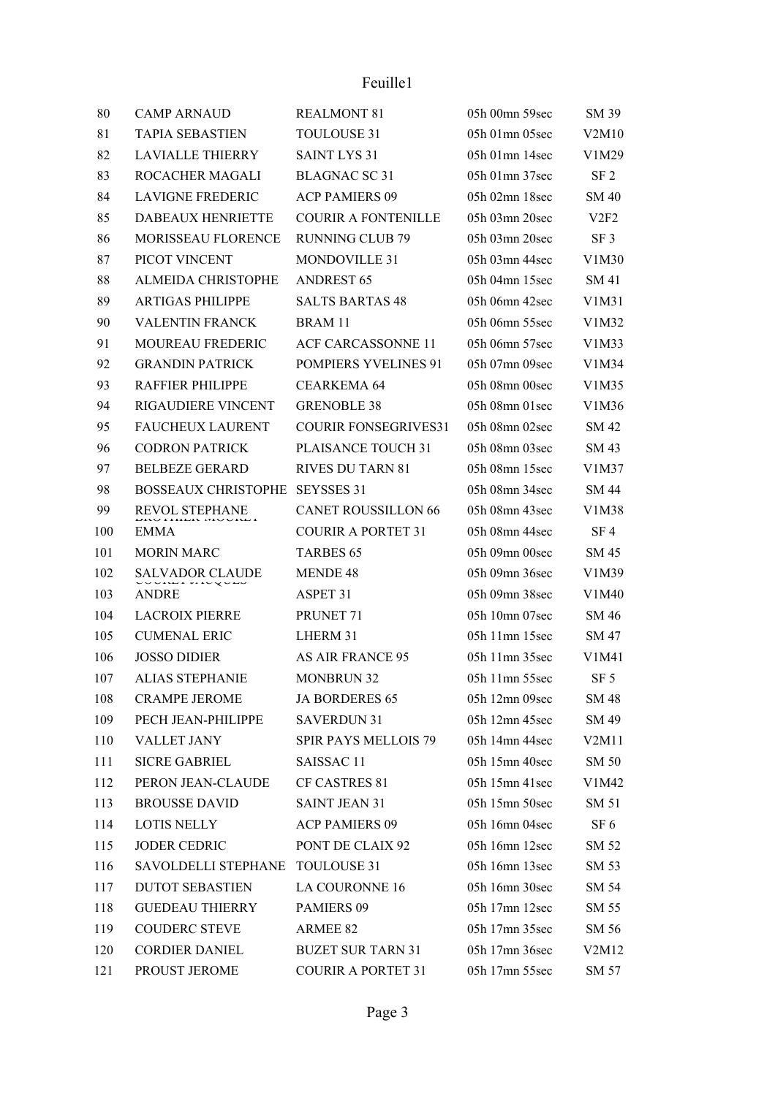| 80  | <b>CAMP ARNAUD</b>         | <b>REALMONT 81</b>          | 05h 00mn 59sec   | SM 39           |
|-----|----------------------------|-----------------------------|------------------|-----------------|
| 81  | <b>TAPIA SEBASTIEN</b>     | <b>TOULOUSE 31</b>          | 05h 01mn 05sec   | V2M10           |
| 82  | <b>LAVIALLE THIERRY</b>    | <b>SAINT LYS 31</b>         | $05h$ 01mn 14sec | V1M29           |
| 83  | ROCACHER MAGALI            | <b>BLAGNAC SC 31</b>        | 05h 01mn 37sec   | SF <sub>2</sub> |
| 84  | <b>LAVIGNE FREDERIC</b>    | <b>ACP PAMIERS 09</b>       | 05h 02mn 18sec   | <b>SM 40</b>    |
| 85  | DABEAUX HENRIETTE          | <b>COURIR A FONTENILLE</b>  | 05h 03mn 20sec   | V2F2            |
| 86  | <b>MORISSEAU FLORENCE</b>  | <b>RUNNING CLUB 79</b>      | 05h 03mn 20sec   | SF <sub>3</sub> |
| 87  | PICOT VINCENT              | <b>MONDOVILLE 31</b>        | 05h 03mn 44sec   | V1M30           |
| 88  | ALMEIDA CHRISTOPHE         | <b>ANDREST 65</b>           | 05h 04mn 15sec   | SM 41           |
| 89  | <b>ARTIGAS PHILIPPE</b>    | <b>SALTS BARTAS 48</b>      | 05h 06mn 42sec   | V1M31           |
| 90  | <b>VALENTIN FRANCK</b>     | BRAM 11                     | 05h 06mn 55sec   | V1M32           |
| 91  | MOUREAU FREDERIC           | <b>ACF CARCASSONNE 11</b>   | 05h 06mn 57sec   | V1M33           |
| 92  | <b>GRANDIN PATRICK</b>     | POMPIERS YVELINES 91        | 05h 07mn 09sec   | V1M34           |
| 93  | <b>RAFFIER PHILIPPE</b>    | <b>CEARKEMA 64</b>          | 05h 08mn 00sec   | V1M35           |
| 94  | RIGAUDIERE VINCENT         | <b>GRENOBLE 38</b>          | 05h 08mn 01sec   | V1M36           |
| 95  | <b>FAUCHEUX LAURENT</b>    | <b>COURIR FONSEGRIVES31</b> | 05h 08mn 02sec   | SM 42           |
| 96  | <b>CODRON PATRICK</b>      | PLAISANCE TOUCH 31          | 05h 08mn 03sec   | SM 43           |
| 97  | <b>BELBEZE GERARD</b>      | <b>RIVES DU TARN 81</b>     | 05h 08mn 15sec   | V1M37           |
| 98  | <b>BOSSEAUX CHRISTOPHE</b> | <b>SEYSSES 31</b>           | 05h 08mn 34sec   | SM 44           |
| 99  | REVOL STEPHANE             | <b>CANET ROUSSILLON 66</b>  | 05h 08mn 43sec   | V1M38           |
| 100 | <b>EMMA</b>                | <b>COURIR A PORTET 31</b>   | 05h 08mn 44sec   | SF 4            |
| 101 | <b>MORIN MARC</b>          | <b>TARBES 65</b>            | 05h 09mn 00sec   | SM 45           |
| 102 | SALVADOR CLAUDE            | MENDE 48                    | 05h 09mn 36sec   | V1M39           |
| 103 | <b>ANDRE</b>               | ASPET 31                    | 05h 09mn 38sec   | V1M40           |
| 104 | <b>LACROIX PIERRE</b>      | PRUNET <sub>71</sub>        | 05h 10mn 07sec   | SM 46           |
| 105 | <b>CUMENAL ERIC</b>        | LHERM 31                    | 05h 11mn 15sec   | SM 47           |
| 106 | <b>JOSSO DIDIER</b>        | <b>AS AIR FRANCE 95</b>     | $05h$ 11mn 35sec | V1M41           |
| 107 | <b>ALIAS STEPHANIE</b>     | <b>MONBRUN 32</b>           | 05h 11mn 55sec   | SF 5            |
| 108 | <b>CRAMPE JEROME</b>       | JA BORDERES 65              | 05h 12mn 09sec   | SM 48           |
| 109 | PECH JEAN-PHILIPPE         | <b>SAVERDUN 31</b>          | 05h 12mn 45sec   | SM 49           |
| 110 | VALLET JANY                | <b>SPIR PAYS MELLOIS 79</b> | 05h 14mn 44sec   | V2M11           |
| 111 | <b>SICRE GABRIEL</b>       | SAISSAC <sub>11</sub>       | 05h 15mn 40sec   | SM 50           |
| 112 | PERON JEAN-CLAUDE          | CF CASTRES 81               | 05h 15mn 41sec   | V1M42           |
| 113 | <b>BROUSSE DAVID</b>       | <b>SAINT JEAN 31</b>        | 05h 15mn 50sec   | SM 51           |
| 114 | LOTIS NELLY                | <b>ACP PAMIERS 09</b>       | 05h 16mn 04sec   | SF 6            |
| 115 | <b>JODER CEDRIC</b>        | PONT DE CLAIX 92            | 05h 16mn 12sec   | SM 52           |
| 116 | SAVOLDELLI STEPHANE        | <b>TOULOUSE 31</b>          | 05h 16mn 13sec   | SM 53           |
| 117 | <b>DUTOT SEBASTIEN</b>     | <b>LA COURONNE 16</b>       | 05h 16mn 30sec   | SM 54           |
| 118 | <b>GUEDEAU THIERRY</b>     | PAMIERS 09                  | 05h 17mn 12sec   | SM 55           |
| 119 | <b>COUDERC STEVE</b>       | ARMEE 82                    | 05h 17mn 35sec   | SM 56           |
| 120 | <b>CORDIER DANIEL</b>      | <b>BUZET SUR TARN 31</b>    | 05h 17mn 36sec   | V2M12           |
| 121 | PROUST JEROME              | <b>COURIR A PORTET 31</b>   | 05h 17mn 55sec   | SM 57           |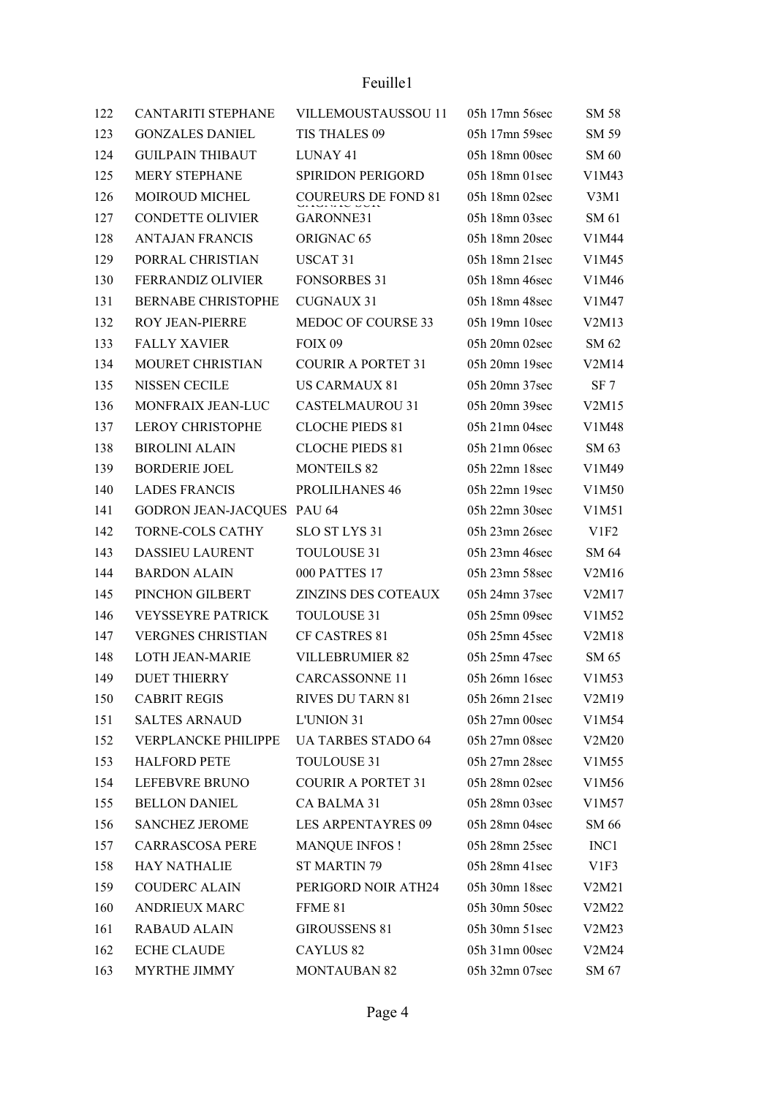## Feuille1

| 122 | <b>CANTARITI STEPHANE</b>  | VILLEMOUSTAUSSOU 11        | 05h 17mn 56sec     | SM 58            |
|-----|----------------------------|----------------------------|--------------------|------------------|
| 123 | <b>GONZALES DANIEL</b>     | TIS THALES 09              | 05h 17mn 59sec     | SM 59            |
| 124 | <b>GUILPAIN THIBAUT</b>    | LUNAY 41                   | 05h 18mn 00sec     | SM 60            |
| 125 | MERY STEPHANE              | <b>SPIRIDON PERIGORD</b>   | $05h$ 18mn $01sec$ | V1M43            |
| 126 | MOIROUD MICHEL             | COUREURS DE FOND 81        | 05h 18mn 02sec     | V3M1             |
| 127 | <b>CONDETTE OLIVIER</b>    | GARONNE31                  | 05h 18mn 03sec     | SM 61            |
| 128 | <b>ANTAJAN FRANCIS</b>     | ORIGNAC <sub>65</sub>      | 05h 18mn 20sec     | V1M44            |
| 129 | PORRAL CHRISTIAN           | USCAT <sub>31</sub>        | $05h$ 18mn $21sec$ | V1M45            |
| 130 | <b>FERRANDIZ OLIVIER</b>   | <b>FONSORBES 31</b>        | 05h 18mn 46sec     | V1M46            |
| 131 | <b>BERNABE CHRISTOPHE</b>  | <b>CUGNAUX 31</b>          | 05h 18mn 48sec     | V1M47            |
| 132 | ROY JEAN-PIERRE            | MEDOC OF COURSE 33         | 05h 19mn 10sec     | V2M13            |
| 133 | <b>FALLY XAVIER</b>        | FOIX 09                    | 05h 20mn 02sec     | SM 62            |
| 134 | MOURET CHRISTIAN           | <b>COURIR A PORTET 31</b>  | 05h 20mn 19sec     | V2M14            |
| 135 | NISSEN CECILE              | <b>US CARMAUX 81</b>       | 05h 20mn 37sec     | SF 7             |
| 136 | MONFRAIX JEAN-LUC          | <b>CASTELMAUROU 31</b>     | 05h 20mn 39sec     | V2M15            |
| 137 | <b>LEROY CHRISTOPHE</b>    | <b>CLOCHE PIEDS 81</b>     | $05h$ 21mn 04sec   | V1M48            |
| 138 | <b>BIROLINI ALAIN</b>      | <b>CLOCHE PIEDS 81</b>     | $05h$ 21mn 06sec   | SM 63            |
| 139 | <b>BORDERIE JOEL</b>       | <b>MONTEILS 82</b>         | 05h 22mn 18sec     | V1M49            |
| 140 | <b>LADES FRANCIS</b>       | PROLILHANES 46             | 05h 22mn 19sec     | V1M50            |
| 141 | GODRON JEAN-JACQUES PAU 64 |                            | $05h$ 22mn 30sec   | V1M51            |
| 142 | <b>TORNE-COLS CATHY</b>    | SLO ST LYS 31              | 05h 23mn 26sec     | V <sub>1F2</sub> |
| 143 | <b>DASSIEU LAURENT</b>     | TOULOUSE 31                | 05h 23mn 46sec     | SM 64            |
| 144 | <b>BARDON ALAIN</b>        | 000 PATTES 17              | 05h 23mn 58sec     | V2M16            |
| 145 | PINCHON GILBERT            | <b>ZINZINS DES COTEAUX</b> | 05h 24mn 37sec     | V2M17            |
| 146 | <b>VEYSSEYRE PATRICK</b>   | TOULOUSE 31                | 05h 25mn 09sec     | V1M52            |
| 147 | <b>VERGNES CHRISTIAN</b>   | CF CASTRES 81              | 05h 25mn 45sec     | V2M18            |
| 148 | <b>LOTH JEAN-MARIE</b>     | VILLEBRUMIER 82            | 05h 25mn 47sec     | SM 65            |
| 149 | <b>DUET THIERRY</b>        | <b>CARCASSONNE 11</b>      | 05h 26mn 16sec     | V1M53            |
| 150 | <b>CABRIT REGIS</b>        | <b>RIVES DU TARN 81</b>    | 05h 26mn 21sec     | V2M19            |
| 151 | <b>SALTES ARNAUD</b>       | L'UNION 31                 | 05h 27mn 00sec     | V1M54            |
| 152 | VERPLANCKE PHILIPPE        | <b>UA TARBES STADO 64</b>  | 05h 27mn 08sec     | V2M20            |
| 153 | <b>HALFORD PETE</b>        | TOULOUSE 31                | 05h 27mn 28sec     | V1M55            |
| 154 | LEFEBVRE BRUNO             | <b>COURIR A PORTET 31</b>  | 05h 28mn 02sec     | V1M56            |
| 155 | <b>BELLON DANIEL</b>       | CA BALMA 31                | 05h 28mn 03sec     | V1M57            |
| 156 | <b>SANCHEZ JEROME</b>      | <b>LES ARPENTAYRES 09</b>  | 05h 28mn 04sec     | SM 66            |
| 157 | <b>CARRASCOSA PERE</b>     | <b>MANQUE INFOS!</b>       | 05h 28mn 25sec     | INC1             |
| 158 | <b>HAY NATHALIE</b>        | <b>ST MARTIN 79</b>        | 05h 28mn 41sec     | V1F3             |
| 159 | <b>COUDERC ALAIN</b>       | PERIGORD NOIR ATH24        | 05h 30mn 18sec     | V2M21            |
| 160 | <b>ANDRIEUX MARC</b>       | FFME 81                    | 05h 30mn 50sec     | V2M22            |
| 161 | <b>RABAUD ALAIN</b>        | <b>GIROUSSENS 81</b>       | 05h 30mn 51sec     | V2M23            |
| 162 | <b>ECHE CLAUDE</b>         | CAYLUS <sub>82</sub>       | 05h 31mn 00sec     | V2M24            |
| 163 | MYRTHE JIMMY               | <b>MONTAUBAN 82</b>        | 05h 32mn 07sec     | SM 67            |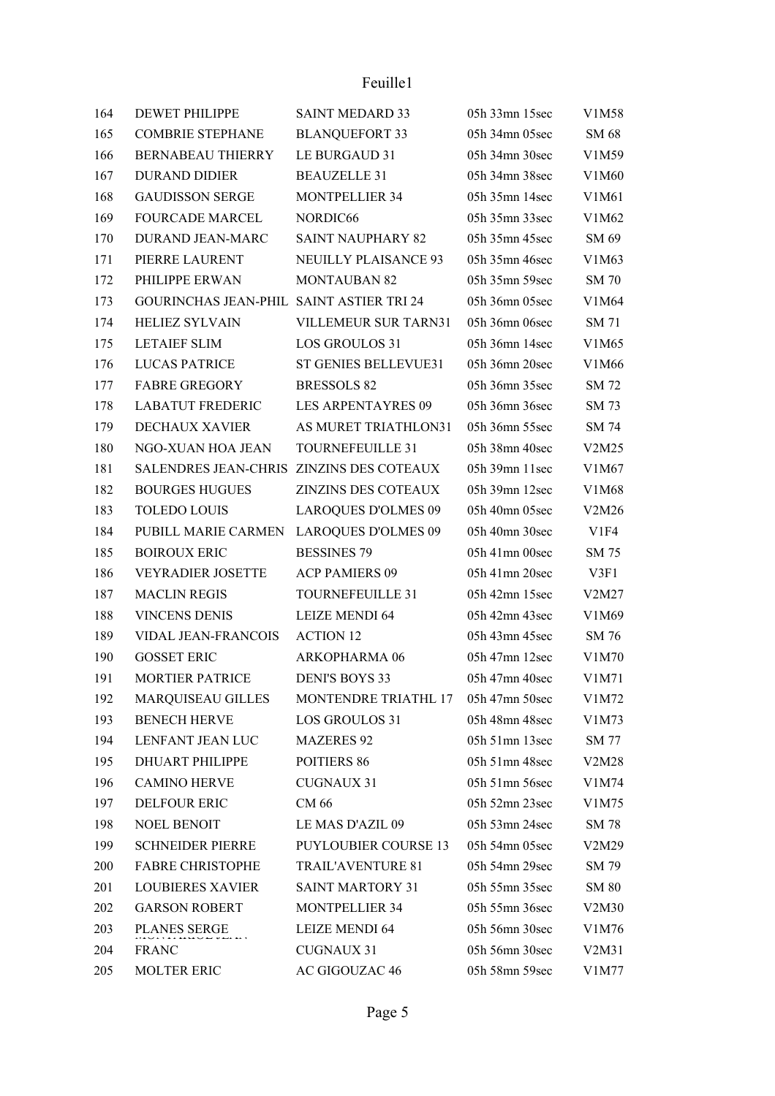| 164 | <b>DEWET PHILIPPE</b>                    | <b>SAINT MEDARD 33</b>      | 05h 33mn 15sec   | V1M58                          |
|-----|------------------------------------------|-----------------------------|------------------|--------------------------------|
| 165 | <b>COMBRIE STEPHANE</b>                  | <b>BLANQUEFORT 33</b>       | 05h 34mn 05sec   | SM 68                          |
| 166 | <b>BERNABEAU THIERRY</b>                 | LE BURGAUD 31               | 05h 34mn 30sec   | V1M59                          |
| 167 | <b>DURAND DIDIER</b>                     | <b>BEAUZELLE 31</b>         | 05h 34mn 38sec   | V1M60                          |
| 168 | <b>GAUDISSON SERGE</b>                   | <b>MONTPELLIER 34</b>       | 05h 35mn 14sec   | V <sub>1</sub> M <sub>61</sub> |
| 169 | <b>FOURCADE MARCEL</b>                   | NORDIC66                    | 05h 35mn 33sec   | V1M62                          |
| 170 | DURAND JEAN-MARC                         | <b>SAINT NAUPHARY 82</b>    | 05h 35mn 45sec   | SM 69                          |
| 171 | PIERRE LAURENT                           | <b>NEUILLY PLAISANCE 93</b> | 05h 35mn 46sec   | V1M63                          |
| 172 | PHILIPPE ERWAN                           | <b>MONTAUBAN 82</b>         | 05h 35mn 59sec   | <b>SM 70</b>                   |
| 173 | GOURINCHAS JEAN-PHIL SAINT ASTIER TRI 24 |                             | 05h 36mn 05sec   | V1M64                          |
| 174 | <b>HELIEZ SYLVAIN</b>                    | VILLEMEUR SUR TARN31        | 05h 36mn 06sec   | SM 71                          |
| 175 | <b>LETAIEF SLIM</b>                      | <b>LOS GROULOS 31</b>       | 05h 36mn 14sec   | V1M65                          |
| 176 | <b>LUCAS PATRICE</b>                     | <b>ST GENIES BELLEVUE31</b> | 05h 36mn 20sec   | V1M66                          |
| 177 | <b>FABRE GREGORY</b>                     | <b>BRESSOLS 82</b>          | 05h 36mn 35sec   | SM 72                          |
| 178 | <b>LABATUT FREDERIC</b>                  | <b>LES ARPENTAYRES 09</b>   | 05h 36mn 36sec   | SM 73                          |
| 179 | <b>DECHAUX XAVIER</b>                    | AS MURET TRIATHLON31        | 05h 36mn 55sec   | SM 74                          |
| 180 | NGO-XUAN HOA JEAN                        | TOURNEFEUILLE 31            | 05h 38mn 40sec   | V2M25                          |
| 181 | SALENDRES JEAN-CHRIS ZINZINS DES COTEAUX |                             | 05h 39mn 11sec   | V1M67                          |
| 182 | <b>BOURGES HUGUES</b>                    | <b>ZINZINS DES COTEAUX</b>  | 05h 39mn 12sec   | V1M68                          |
| 183 | <b>TOLEDO LOUIS</b>                      | <b>LAROQUES D'OLMES 09</b>  | 05h 40mn 05sec   | V2M26                          |
| 184 | PUBILL MARIE CARMEN                      | <b>LAROQUES D'OLMES 09</b>  | 05h 40mn 30sec   | V1F4                           |
| 185 | <b>BOIROUX ERIC</b>                      | <b>BESSINES 79</b>          | $05h$ 41mn 00sec | SM 75                          |
| 186 | <b>VEYRADIER JOSETTE</b>                 | <b>ACP PAMIERS 09</b>       | $05h$ 41mn 20sec | V3F1                           |
| 187 | <b>MACLIN REGIS</b>                      | TOURNEFEUILLE 31            | 05h 42mn 15sec   | V2M27                          |
| 188 | <b>VINCENS DENIS</b>                     | <b>LEIZE MENDI 64</b>       | 05h 42mn 43sec   | V1M69                          |
| 189 | <b>VIDAL JEAN-FRANCOIS</b>               | <b>ACTION 12</b>            | 05h 43mn 45sec   | SM 76                          |
| 190 | <b>GOSSET ERIC</b>                       | ARKOPHARMA 06               | 05h 47mn 12sec   | V1M70                          |
| 191 | <b>MORTIER PATRICE</b>                   | <b>DENI'S BOYS 33</b>       | 05h 47mn 40sec   | V1M71                          |
| 192 | MARQUISEAU GILLES                        | MONTENDRE TRIATHL 17        | 05h 47mn 50sec   | V1M72                          |
| 193 | <b>BENECH HERVE</b>                      | LOS GROULOS 31              | 05h 48mn 48sec   | V1M73                          |
| 194 | LENFANT JEAN LUC                         | <b>MAZERES 92</b>           | 05h 51mn 13sec   | SM 77                          |
| 195 | DHUART PHILIPPE                          | POITIERS 86                 | 05h 51mn 48sec   | V2M28                          |
| 196 | <b>CAMINO HERVE</b>                      | <b>CUGNAUX 31</b>           | 05h 51mn 56sec   | V1M74                          |
| 197 | <b>DELFOUR ERIC</b>                      | CM 66                       | 05h 52mn 23sec   | V1M75                          |
| 198 | <b>NOEL BENOIT</b>                       | LE MAS D'AZIL 09            | 05h 53mn 24sec   | SM 78                          |
| 199 | <b>SCHNEIDER PIERRE</b>                  | <b>PUYLOUBIER COURSE 13</b> | 05h 54mn 05sec   | V2M29                          |
| 200 | <b>FABRE CHRISTOPHE</b>                  | TRAIL'AVENTURE 81           | 05h 54mn 29sec   | SM 79                          |
| 201 | <b>LOUBIERES XAVIER</b>                  | <b>SAINT MARTORY 31</b>     | 05h 55mn 35sec   | SM 80                          |
| 202 | <b>GARSON ROBERT</b>                     | <b>MONTPELLIER 34</b>       | 05h 55mn 36sec   | V2M30                          |
| 203 | PLANES SERGE                             | <b>LEIZE MENDI 64</b>       | 05h 56mn 30sec   | V1M76                          |
| 204 | <b>FRANC</b>                             | <b>CUGNAUX 31</b>           | 05h 56mn 30sec   | V2M31                          |
| 205 | MOLTER ERIC                              | AC GIGOUZAC 46              | 05h 58mn 59sec   | V1M77                          |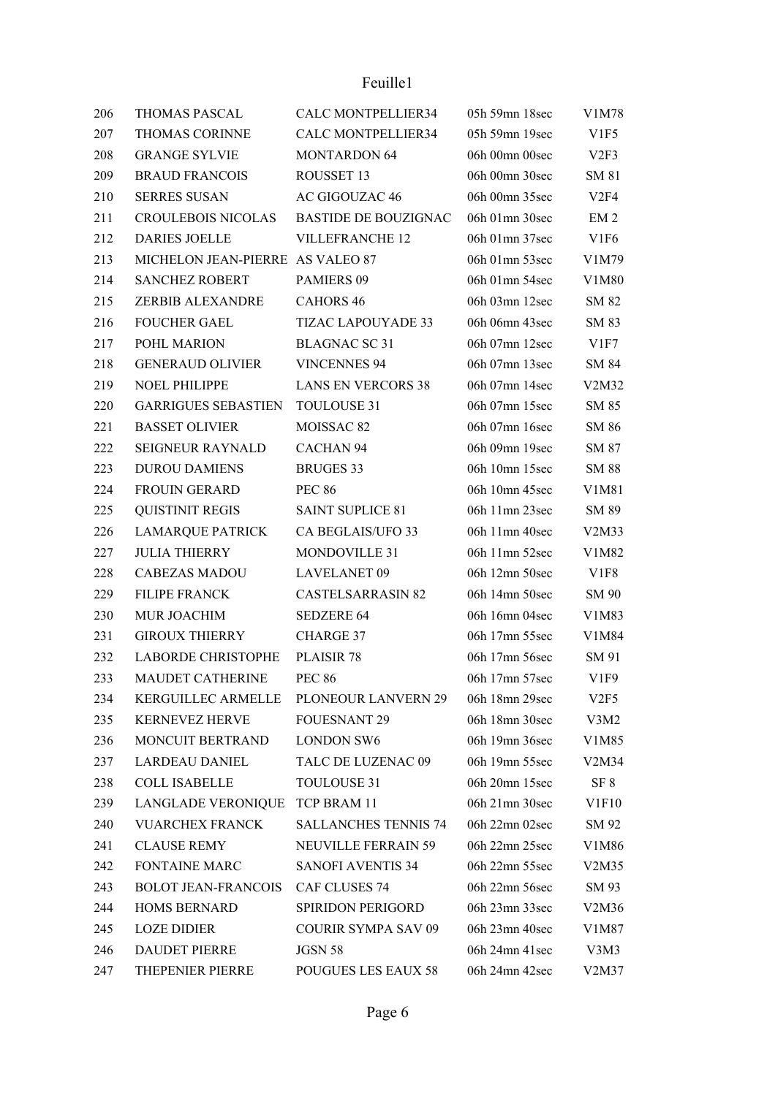| 206 | <b>THOMAS PASCAL</b>             | CALC MONTPELLIER34          | 05h 59mn 18sec | V1M78            |
|-----|----------------------------------|-----------------------------|----------------|------------------|
| 207 | THOMAS CORINNE                   | <b>CALC MONTPELLIER34</b>   | 05h 59mn 19sec | V1F5             |
| 208 | <b>GRANGE SYLVIE</b>             | <b>MONTARDON 64</b>         | 06h 00mn 00sec | V2F3             |
| 209 | <b>BRAUD FRANCOIS</b>            | ROUSSET 13                  | 06h 00mn 30sec | SM 81            |
| 210 | <b>SERRES SUSAN</b>              | AC GIGOUZAC 46              | 06h 00mn 35sec | V2F4             |
| 211 | <b>CROULEBOIS NICOLAS</b>        | <b>BASTIDE DE BOUZIGNAC</b> | 06h 01mn 30sec | EM <sub>2</sub>  |
| 212 | <b>DARIES JOELLE</b>             | <b>VILLEFRANCHE 12</b>      | 06h 01mn 37sec | V <sub>1F6</sub> |
| 213 | MICHELON JEAN-PIERRE AS VALEO 87 |                             | 06h 01mn 53sec | V1M79            |
| 214 | SANCHEZ ROBERT                   | <b>PAMIERS 09</b>           | 06h 01mn 54sec | V1M80            |
| 215 | <b>ZERBIB ALEXANDRE</b>          | <b>CAHORS 46</b>            | 06h 03mn 12sec | SM 82            |
| 216 | <b>FOUCHER GAEL</b>              | <b>TIZAC LAPOUYADE 33</b>   | 06h 06mn 43sec | SM 83            |
| 217 | POHL MARION                      | <b>BLAGNAC SC 31</b>        | 06h 07mn 12sec | V1F7             |
| 218 | <b>GENERAUD OLIVIER</b>          | <b>VINCENNES 94</b>         | 06h 07mn 13sec | SM 84            |
| 219 | <b>NOEL PHILIPPE</b>             | <b>LANS EN VERCORS 38</b>   | 06h 07mn 14sec | V2M32            |
| 220 | <b>GARRIGUES SEBASTIEN</b>       | TOULOUSE 31                 | 06h 07mn 15sec | SM 85            |
| 221 | <b>BASSET OLIVIER</b>            | MOISSAC <sub>82</sub>       | 06h 07mn 16sec | SM 86            |
| 222 | <b>SEIGNEUR RAYNALD</b>          | CACHAN <sub>94</sub>        | 06h 09mn 19sec | SM 87            |
| 223 | <b>DUROU DAMIENS</b>             | <b>BRUGES 33</b>            | 06h 10mn 15sec | <b>SM 88</b>     |
| 224 | <b>FROUIN GERARD</b>             | <b>PEC 86</b>               | 06h 10mn 45sec | V1M81            |
| 225 | <b>QUISTINIT REGIS</b>           | <b>SAINT SUPLICE 81</b>     | 06h 11mn 23sec | SM 89            |
| 226 | <b>LAMARQUE PATRICK</b>          | CA BEGLAIS/UFO 33           | 06h 11mn 40sec | V2M33            |
| 227 | <b>JULIA THIERRY</b>             | <b>MONDOVILLE 31</b>        | 06h 11mn 52sec | V1M82            |
| 228 | <b>CABEZAS MADOU</b>             | <b>LAVELANET 09</b>         | 06h 12mn 50sec | V <sub>1F8</sub> |
| 229 | <b>FILIPE FRANCK</b>             | <b>CASTELSARRASIN 82</b>    | 06h 14mn 50sec | SM 90            |
| 230 | MUR JOACHIM                      | <b>SEDZERE 64</b>           | 06h 16mn 04sec | V1M83            |
| 231 | <b>GIROUX THIERRY</b>            | CHARGE 37                   | 06h 17mn 55sec | V1M84            |
| 232 | <b>LABORDE CHRISTOPHE</b>        | PLAISIR 78                  | 06h 17mn 56sec | SM 91            |
| 233 | MAUDET CATHERINE                 | <b>PEC 86</b>               | 06h 17mn 57sec | V1F9             |
| 234 | KERGUILLEC ARMELLE               | PLONEOUR LANVERN 29         | 06h 18mn 29sec | V2F5             |
| 235 | <b>KERNEVEZ HERVE</b>            | <b>FOUESNANT 29</b>         | 06h 18mn 30sec | V3M2             |
| 236 | MONCUIT BERTRAND                 | <b>LONDON SW6</b>           | 06h 19mn 36sec | V1M85            |
| 237 | <b>LARDEAU DANIEL</b>            | TALC DE LUZENAC 09          | 06h 19mn 55sec | V2M34            |
| 238 | <b>COLL ISABELLE</b>             | <b>TOULOUSE 31</b>          | 06h 20mn 15sec | SF 8             |
| 239 | LANGLADE VERONIQUE               | TCP BRAM 11                 | 06h 21mn 30sec | V1F10            |
| 240 | <b>VUARCHEX FRANCK</b>           | <b>SALLANCHES TENNIS 74</b> | 06h 22mn 02sec | SM 92            |
| 241 | <b>CLAUSE REMY</b>               | <b>NEUVILLE FERRAIN 59</b>  | 06h 22mn 25sec | V1M86            |
| 242 | <b>FONTAINE MARC</b>             | <b>SANOFI AVENTIS 34</b>    | 06h 22mn 55sec | V2M35            |
| 243 | <b>BOLOT JEAN-FRANCOIS</b>       | CAF CLUSES 74               | 06h 22mn 56sec | SM 93            |
| 244 | <b>HOMS BERNARD</b>              | SPIRIDON PERIGORD           | 06h 23mn 33sec | V2M36            |
| 245 | <b>LOZE DIDIER</b>               | <b>COURIR SYMPA SAV 09</b>  | 06h 23mn 40sec | V1M87            |
| 246 | <b>DAUDET PIERRE</b>             | JGSN 58                     | 06h 24mn 41sec | V3M3             |
| 247 | THEPENIER PIERRE                 | POUGUES LES EAUX 58         | 06h 24mn 42sec | V2M37            |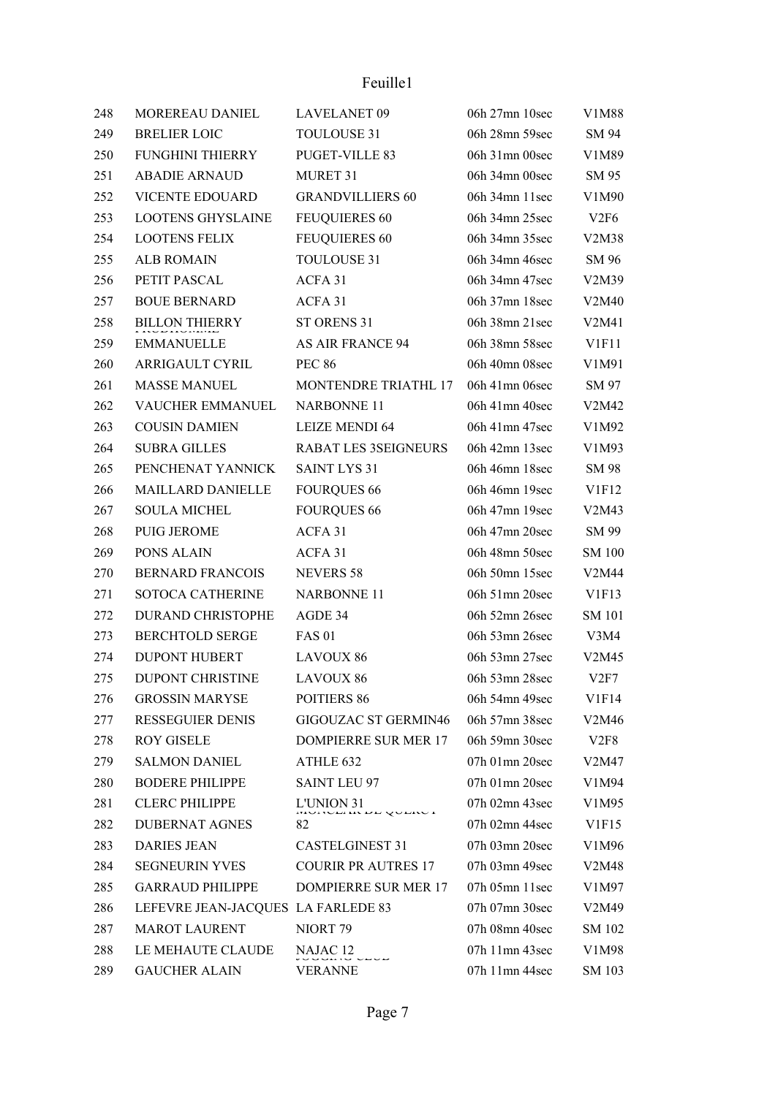| 248 | MOREREAU DANIEL                    | <b>LAVELANET 09</b>         | 06h 27mn 10sec       | V1M88         |
|-----|------------------------------------|-----------------------------|----------------------|---------------|
| 249 | <b>BRELIER LOIC</b>                | TOULOUSE 31                 | 06h 28mn 59sec       | SM 94         |
| 250 | <b>FUNGHINI THIERRY</b>            | PUGET-VILLE 83              | 06h 31mn 00sec       | V1M89         |
| 251 | <b>ABADIE ARNAUD</b>               | MURET 31                    | 06h 34mn 00sec       | SM 95         |
| 252 | <b>VICENTE EDOUARD</b>             | <b>GRANDVILLIERS 60</b>     | 06h 34mn 11sec       | V1M90         |
| 253 | <b>LOOTENS GHYSLAINE</b>           | <b>FEUQUIERES 60</b>        | 06h 34mn 25sec       | V2F6          |
| 254 | <b>LOOTENS FELIX</b>               | <b>FEUQUIERES 60</b>        | 06h 34mn 35sec       | V2M38         |
| 255 | <b>ALB ROMAIN</b>                  | TOULOUSE 31                 | 06h 34mn 46sec       | SM 96         |
| 256 | PETIT PASCAL                       | ACFA 31                     | 06h 34mn 47sec       | V2M39         |
| 257 | <b>BOUE BERNARD</b>                | ACFA 31                     | 06h 37mn 18sec       | V2M40         |
| 258 | <b>BILLON THIERRY</b>              | ST ORENS 31                 | 06h 38mn 21sec       | V2M41         |
| 259 | <b>EMMANUELLE</b>                  | <b>AS AIR FRANCE 94</b>     | 06h 38mn 58sec       | V1F11         |
| 260 | ARRIGAULT CYRIL                    | <b>PEC 86</b>               | 06h 40mn 08sec       | V1M91         |
| 261 | <b>MASSE MANUEL</b>                | MONTENDRE TRIATHL 17        | 06h 41mn 06sec       | SM 97         |
| 262 | VAUCHER EMMANUEL                   | <b>NARBONNE 11</b>          | 06h 41mn 40sec       | V2M42         |
| 263 | <b>COUSIN DAMIEN</b>               | <b>LEIZE MENDI 64</b>       | 06h 41mn 47sec       | V1M92         |
| 264 | <b>SUBRA GILLES</b>                | <b>RABAT LES 3SEIGNEURS</b> | 06h 42mn 13sec       | V1M93         |
| 265 | PENCHENAT YANNICK                  | <b>SAINT LYS 31</b>         | 06h 46mn 18sec       | SM 98         |
| 266 | <b>MAILLARD DANIELLE</b>           | <b>FOURQUES 66</b>          | 06h 46mn 19sec       | V1F12         |
| 267 | <b>SOULA MICHEL</b>                | <b>FOURQUES 66</b>          | 06h 47mn 19sec       | V2M43         |
| 268 | <b>PUIG JEROME</b>                 | ACFA 31                     | 06h 47mn 20sec       | SM 99         |
| 269 | PONS ALAIN                         | ACFA 31                     | 06h 48mn 50sec       | <b>SM 100</b> |
| 270 | <b>BERNARD FRANCOIS</b>            | <b>NEVERS 58</b>            | 06h 50mn 15sec       | V2M44         |
| 271 | <b>SOTOCA CATHERINE</b>            | <b>NARBONNE 11</b>          | 06h $51$ mn $20$ sec | V1F13         |
| 272 | DURAND CHRISTOPHE                  | AGDE 34                     | 06h 52mn 26sec       | <b>SM 101</b> |
| 273 | <b>BERCHTOLD SERGE</b>             | <b>FAS 01</b>               | 06h 53mn 26sec       | V3M4          |
| 274 | <b>DUPONT HUBERT</b>               | LAVOUX 86                   | 06h 53mn 27sec       | V2M45         |
| 275 | DUPONT CHRISTINE                   | <b>LAVOUX 86</b>            | 06h 53mn 28sec       | V2F7          |
| 276 | <b>GROSSIN MARYSE</b>              | POITIERS 86                 | 06h 54mn 49sec       | V1F14         |
| 277 | <b>RESSEGUIER DENIS</b>            | <b>GIGOUZAC ST GERMIN46</b> | 06h 57mn 38sec       | V2M46         |
| 278 | <b>ROY GISELE</b>                  | <b>DOMPIERRE SUR MER 17</b> | 06h 59mn 30sec       | V2F8          |
| 279 | <b>SALMON DANIEL</b>               | ATHLE 632                   | 07h 01mn 20sec       | V2M47         |
| 280 | <b>BODERE PHILIPPE</b>             | <b>SAINT LEU 97</b>         | 07h 01mn 20sec       | V1M94         |
| 281 | <b>CLERC PHILIPPE</b>              | L'UNION 31<br>www.younox    | 07h 02mn 43sec       | V1M95         |
| 282 | <b>DUBERNAT AGNES</b>              | 82                          | 07h 02mn 44sec       | V1F15         |
| 283 | <b>DARIES JEAN</b>                 | <b>CASTELGINEST 31</b>      | 07h 03mn 20sec       | V1M96         |
| 284 | <b>SEGNEURIN YVES</b>              | <b>COURIR PR AUTRES 17</b>  | 07h 03mn 49sec       | V2M48         |
| 285 | <b>GARRAUD PHILIPPE</b>            | DOMPIERRE SUR MER 17        | $07h$ 05mn 11sec     | V1M97         |
| 286 | LEFEVRE JEAN-JACQUES LA FARLEDE 83 |                             | 07h 07mn 30sec       | V2M49         |
| 287 | <b>MAROT LAURENT</b>               | NIORT <sub>79</sub>         | 07h 08mn 40sec       | SM 102        |
| 288 | LE MEHAUTE CLAUDE                  | NAJAC 12                    | 07h 11mn 43sec       | V1M98         |
| 289 | <b>GAUCHER ALAIN</b>               | VERANNE                     | 07h 11mn 44sec       | SM 103        |